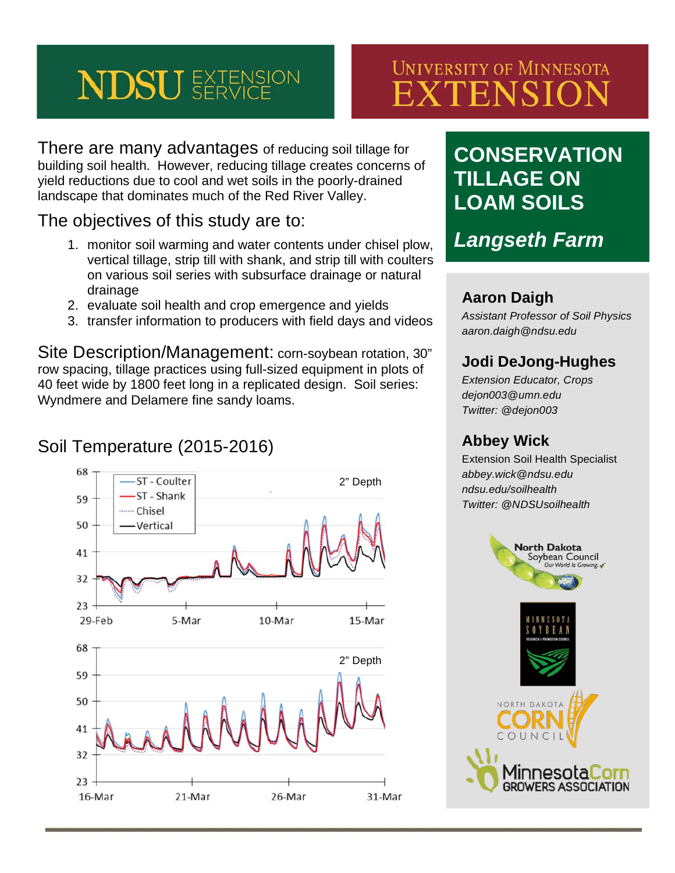# **NDSU** *SERVICE*

# **UNIVERSITY OF MINNESOTA** EXTENSION

There are many advantages of reducing soil tillage for building soil health. However, reducing tillage creates concerns of yield reductions due to cool and wet soils in the poorly-drained landscape that dominates much of the Red River Valley.

#### The objectives of this study are to:

- 1. monitor soil warming and water contents under chisel plow, vertical tillage, strip till with shank, and strip till with coulters on various soil series with subsurface drainage or natural drainage
- 2. evaluate soil health and crop emergence and yields
- 3. transfer information to producers with field days and videos

Site Description/Management: corn-soybean rotation, 30" row spacing, tillage practices using full-sized equipment in plots of 40 feet wide by 1800 feet long in a replicated design. Soil series: Wyndmere and Delamere fine sandy loams.

## Soil Temperature (2015-2016)



# **CONSERVATION TILLAGE ON LOAM SOILS**

*Langseth Farm*

#### **Aaron Daigh**

*Assistant Professor of Soil Physics aaron.daigh@ndsu.edu*

#### **Jodi DeJong-Hughes**

*Extension Educator, Crops dejon003@umn.edu Twitter: @dejon003*

#### **Abbey Wick**

Extension Soil Health Specialist *abbey.wick@ndsu.edu ndsu.edu/soilhealth Twitter: @NDSUsoilhealth*